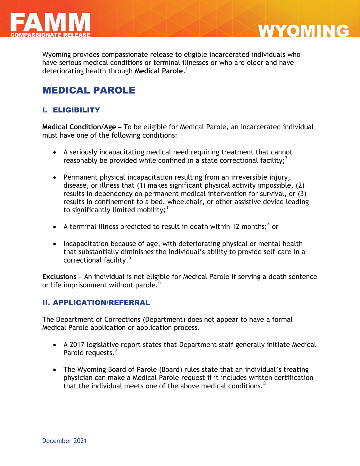

Wyoming provides compassionate release to eligible incarcerated individuals who have serious medical conditions or terminal illnesses or who are older and have deteriorating health through **Medical Parole**. 1

**WYOMING** 

# MEDICAL PAROLE

## I. ELIGIBILITY

**Medical Condition/Age** – To be eligible for Medical Parole, an incarcerated individual must have one of the following conditions:

- A seriously incapacitating medical need requiring treatment that cannot reasonably be provided while confined in a state correctional facility;<sup>2</sup>
- Permanent physical incapacitation resulting from an irreversible injury, disease, or illness that (1) makes significant physical activity impossible, (2) results in dependency on permanent medical intervention for survival, or (3) results in confinement to a bed, wheelchair, or other assistive device leading to significantly limited mobility; $3$
- A terminal illness predicted to result in death within 12 months;<sup>4</sup> or
- Incapacitation because of age, with deteriorating physical or mental health that substantially diminishes the individual's ability to provide self-care in a correctional facility.<sup>5</sup>

**Exclusions** – An individual is not eligible for Medical Parole if serving a death sentence or life imprisonment without parole.<sup>6</sup>

#### II. APPLICATION/REFERRAL

The Department of Corrections (Department) does not appear to have a formal Medical Parole application or application process.

- A 2017 legislative report states that Department staff generally initiate Medical Parole requests.<sup>7</sup>
- The Wyoming Board of Parole (Board) rules state that an individual's treating physician can make a Medical Parole request if it includes written certification that the individual meets one of the above medical conditions.  $8$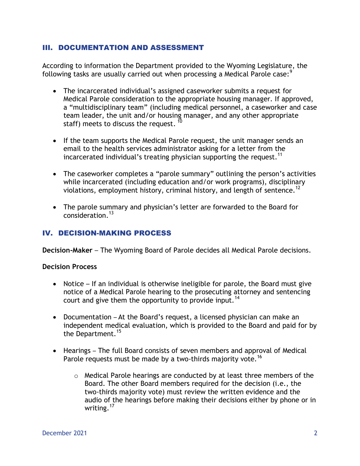#### III. DOCUMENTATION AND ASSESSMENT

According to information the Department provided to the Wyoming Legislature, the following tasks are usually carried out when processing a Medical Parole case:<sup>9</sup>

- The incarcerated individual's assigned caseworker submits a request for Medical Parole consideration to the appropriate housing manager. If approved, a "multidisciplinary team" (including medical personnel, a caseworker and case team leader, the unit and/or housing manager, and any other appropriate staff) meets to discuss the request.  $^{\text{\textregistered}}$
- If the team supports the Medical Parole request, the unit manager sends an email to the health services administrator asking for a letter from the incarcerated individual's treating physician supporting the request.<sup>11</sup>
- The caseworker completes a "parole summary" outlining the person's activities while incarcerated (including education and/or work programs), disciplinary violations, employment history, criminal history, and length of sentence.<sup>12</sup>
- The parole summary and physician's letter are forwarded to the Board for consideration.<sup>13</sup>

### IV. DECISION-MAKING PROCESS

**Decision-Maker** – The Wyoming Board of Parole decides all Medical Parole decisions.

#### **Decision Process**

- Notice If an individual is otherwise ineligible for parole, the Board must give notice of a Medical Parole hearing to the prosecuting attorney and sentencing court and give them the opportunity to provide input.<sup>14</sup>
- Documentation At the Board's request, a licensed physician can make an independent medical evaluation, which is provided to the Board and paid for by the Department.<sup>15</sup>
- Hearings The full Board consists of seven members and approval of Medical Parole requests must be made by a two-thirds majority vote.<sup>16</sup>
	- o Medical Parole hearings are conducted by at least three members of the Board. The other Board members required for the decision (i.e., the two-thirds majority vote) must review the written evidence and the audio of the hearings before making their decisions either by phone or in writing.<sup>17</sup>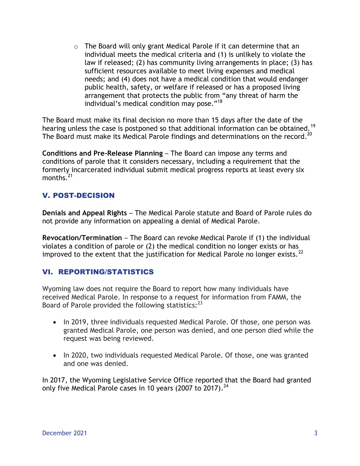$\circ$  The Board will only grant Medical Parole if it can determine that an individual meets the medical criteria and (1) is unlikely to violate the law if released; (2) has community living arrangements in place; (3) has sufficient resources available to meet living expenses and medical needs; and (4) does not have a medical condition that would endanger public health, safety, or welfare if released or has a proposed living arrangement that protects the public from "any threat of harm the individual's medical condition may pose." 18

The Board must make its final decision no more than 15 days after the date of the hearing unless the case is postponed so that additional information can be obtained.<sup>19</sup> The Board must make its Medical Parole findings and determinations on the record.<sup>20</sup>

**Conditions and Pre-Release Planning** – The Board can impose any terms and conditions of parole that it considers necessary, including a requirement that the formerly incarcerated individual submit medical progress reports at least every six months. $^{21}$ 

## V. POST-DECISION

**Denials and Appeal Rights** – The Medical Parole statute and Board of Parole rules do not provide any information on appealing a denial of Medical Parole.

**Revocation/Termination** – The Board can revoke Medical Parole if (1) the individual violates a condition of parole or (2) the medical condition no longer exists or has improved to the extent that the justification for Medical Parole no longer exists.<sup>22</sup>

## VI. REPORTING/STATISTICS

Wyoming law does not require the Board to report how many individuals have received Medical Parole. In response to a request for information from FAMM, the Board of Parole provided the following statistics:<sup>23</sup>

- In 2019, three individuals requested Medical Parole. Of those, one person was granted Medical Parole, one person was denied, and one person died while the request was being reviewed.
- In 2020, two individuals requested Medical Parole. Of those, one was granted and one was denied.

In 2017, the Wyoming Legislative Service Office reported that the Board had granted only five Medical Parole cases in 10 years (2007 to 2017).<sup>24</sup>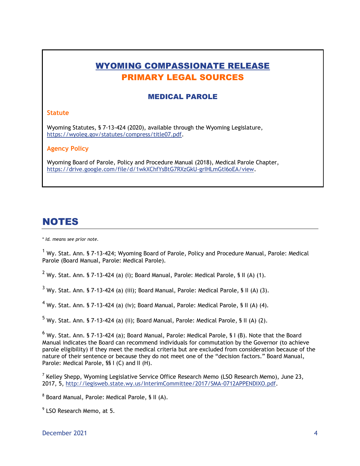# WYOMING COMPASSIONATE RELEASE PRIMARY LEGAL SOURCES

### MEDICAL PAROLE

#### **Statute**

Wyoming Statutes, § 7-13-424 (2020), available through the Wyoming Legislature, https://wyoleg.gov/statutes/compress/title07.pdf.

#### **Agency Policy**

Wyoming Board of Parole, Policy and Procedure Manual (2018), Medical Parole Chapter, [https://drive.google.com/file/d/1wkXChfYsBtG7RXzGkU-grIHLmGtI6oEA/view.](https://drive.google.com/file/d/1wkXChfYsBtG7RXzGkU-grIHLmGtI6oEA/view)

# **NOTES**

\* *Id. means see prior note.*

<sup>1</sup> Wy. Stat. Ann. § 7-13-424; Wyoming Board of Parole, Policy and Procedure Manual, Parole: Medical Parole (Board Manual, Parole: Medical Parole).

 $2$  Wy. Stat. Ann. § 7-13-424 (a) (i); Board Manual, Parole: Medical Parole, § II (A) (1).

 $3$  Wy. Stat. Ann. § 7-13-424 (a) (iii); Board Manual, Parole: Medical Parole, § II (A) (3).

 $4$  Wy. Stat. Ann. § 7-13-424 (a) (iv); Board Manual, Parole: Medical Parole, § II (A) (4).

 $^5$  Wy. Stat. Ann. § 7-13-424 (a) (ii); Board Manual, Parole: Medical Parole, § II (A) (2).

 $^6$  Wy. Stat. Ann. § 7-13-424 (a); Board Manual, Parole: Medical Parole, § I (B). Note that the Board Manual indicates the Board can recommend individuals for commutation by the Governor (to achieve parole eligibility) if they meet the medical criteria but are excluded from consideration because of the nature of their sentence or because they do not meet one of the "decision factors." Board Manual, Parole: Medical Parole, §§ I (C) and II (H).

<sup>7</sup> Kelley Shepp, Wyoming Legislative Service Office Research Memo (LSO Research Memo), June 23, 2017, 5, [http://legisweb.state.wy.us/InterimCommittee/2017/SMA-0712APPENDIXO.pdf.](http://legisweb.state.wy.us/InterimCommittee/2017/SMA-0712APPENDIXO.pdf)

<sup>8</sup> Board Manual, Parole: Medical Parole, § II (A).

<sup>9</sup> LSO Research Memo, at 5.